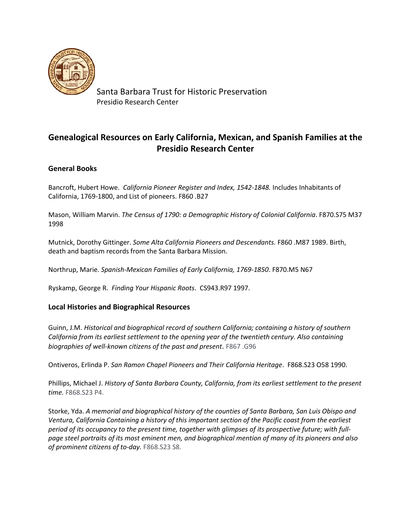

Santa Barbara Trust for Historic Preservation Presidio Research Center

# **Genealogical Resources on Early California, Mexican, and Spanish Families at the Presidio Research Center**

## **General Books**

Bancroft, Hubert Howe. *California Pioneer Register and Index, 1542-1848.* Includes Inhabitants of California, 1769-1800, and List of pioneers. F860 .B27

Mason, William Marvin. *The Census of 1790: a Demographic History of Colonial California*. F870.S75 M37 1998

Mutnick, Dorothy Gittinger. *Some Alta California Pioneers and Descendants.* F860 .M87 1989. Birth, death and baptism records from the Santa Barbara Mission.

Northrup, Marie. *Spanish-Mexican Families of Early California, 1769-1850*. F870.M5 N67

Ryskamp, George R. *Finding Your Hispanic Roots*. CS943.R97 1997.

## **Local Histories and Biographical Resources**

Guinn, J.M. *Historical and biographical record of southern California; containing a history of southern California from its earliest settlement to the opening year of the twentieth century. Also containing biographies of well-known citizens of the past and present*. F867 .G96

Ontiveros, Erlinda P. *San Ramon Chapel Pioneers and Their California Heritage*. F868.S23 O58 1990.

Phillips, Michael J. *History of Santa Barbara County, California, from its earliest settlement to the present time.* F868.S23 P4.

Storke, Yda. *A memorial and biographical history of the counties of Santa Barbara, San Luis Obispo and Ventura, California Containing a history of this important section of the Pacific coast from the earliest period of its occupancy to the present time, together with glimpses of its prospective future; with fullpage steel portraits of its most eminent men, and biographical mention of many of its pioneers and also of prominent citizens of to-day.* F868.S23 S8.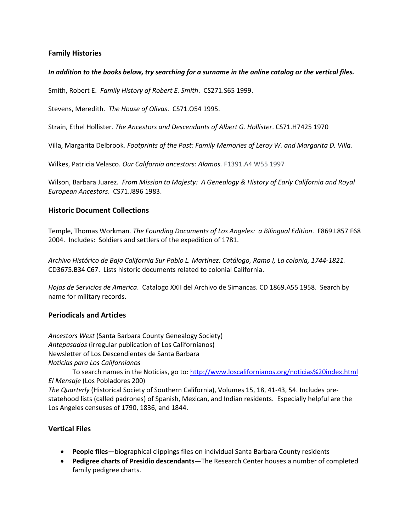## **Family Histories**

#### *In addition to the books below, try searching for a surname in the online catalog or the vertical files.*

Smith, Robert E. *Family History of Robert E. Smith*. CS271.S65 1999.

Stevens, Meredith. *The House of Olivas*. CS71.O54 1995.

Strain, Ethel Hollister. *The Ancestors and Descendants of Albert G. Hollister*. CS71.H7425 1970

Villa, Margarita Delbrook*. Footprints of the Past: Family Memories of Leroy W. and Margarita D. Villa.*

Wilkes, Patricia Velasco. *Our California ancestors: Alamos.* F1391.A4 W55 1997

Wilson, Barbara Juarez*. From Mission to Majesty: A Genealogy & History of Early California and Royal European Ancestors*. CS71.J896 1983.

#### **Historic Document Collections**

Temple, Thomas Workman. *The Founding Documents of Los Angeles: a Bilingual Edition*. F869.L857 F68 2004. Includes: Soldiers and settlers of the expedition of 1781.

*Archivo Histórico de Baja California Sur Pablo L. Martínez: Catálogo, Ramo I, La colonia, 1744-1821.* CD3675.B34 C67. Lists historic documents related to colonial California.

*Hojas de Servicios de America*. Catalogo XXII del Archivo de Simancas. CD 1869.A55 1958. Search by name for military records.

#### **Periodicals and Articles**

*Ancestors West* (Santa Barbara County Genealogy Society) *Antepasados* (irregular publication of Los Californianos) Newsletter of Los Descendientes de Santa Barbara *Noticias para Los Californianos*

To search names in the Noticias, go to:<http://www.loscalifornianos.org/noticias%20index.html> *El Mensaje* (Los Pobladores 200)

*The Quarterly* (Historical Society of Southern California), Volumes 15, 18, 41-43, 54. Includes prestatehood lists (called padrones) of Spanish, Mexican, and Indian residents. Especially helpful are the Los Angeles censuses of 1790, 1836, and 1844.

#### **Vertical Files**

- **People files**—biographical clippings files on individual Santa Barbara County residents
- **Pedigree charts of Presidio descendants**—The Research Center houses a number of completed family pedigree charts.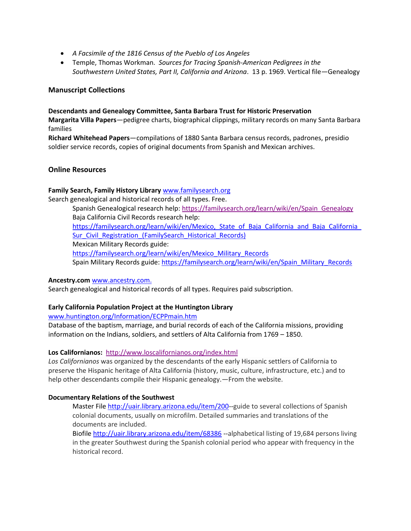- *A Facsimile of the 1816 Census of the Pueblo of Los Angeles*
- Temple, Thomas Workman. *Sources for Tracing Spanish-American Pedigrees in the Southwestern United States, Part II, California and Arizona*. 13 p. 1969. Vertical file—Genealogy

### **Manuscript Collections**

#### **Descendants and Genealogy Committee, Santa Barbara Trust for Historic Preservation**

**Margarita Villa Papers**—pedigree charts, biographical clippings, military records on many Santa Barbara families

**Richard Whitehead Papers**—compilations of 1880 Santa Barbara census records, padrones, presidio soldier service records, copies of original documents from Spanish and Mexican archives.

#### **Online Resources**

#### **Family Search, Family History Library** [www.familysearch.org](http://www.familysearch.org/)

Search genealogical and historical records of all types. Free.

Spanish Genealogical research help: [https://familysearch.org/learn/wiki/en/Spain\\_Genealogy](https://familysearch.org/learn/wiki/en/Spain_Genealogy) Baja California Civil Records research help: https://familysearch.org/learn/wiki/en/Mexico, State of Baja California and Baja California Sur\_Civil\_Registration (FamilySearch\_Historical\_Records) Mexican Military Records guide: [https://familysearch.org/learn/wiki/en/Mexico\\_Military\\_Records](https://familysearch.org/learn/wiki/en/Mexico_Military_Records) Spain Military Records guide[: https://familysearch.org/learn/wiki/en/Spain\\_Military\\_Records](https://familysearch.org/learn/wiki/en/Spain_Military_Records)

#### **Ancestry.com** [www.ancestry.com.](http://www.ancestry.com/)

Search genealogical and historical records of all types. Requires paid subscription.

#### **Early California Population Project at the Huntington Library**

[www.huntington.org/Information/ECPPmain.htm](http://www.huntington.org/Information/ECPPmain.htm)

Database of the baptism, marriage, and burial records of each of the California missions, providing information on the Indians, soldiers, and settlers of Alta California from 1769 – 1850.

#### **Los Californianos:**<http://www.loscalifornianos.org/index.html>

*Los Californianos* was organized by the descendants of the early Hispanic settlers of California to preserve the Hispanic heritage of Alta California (history, music, culture, infrastructure, etc.) and to help other descendants compile their Hispanic genealogy.—From the website.

#### **Documentary Relations of the Southwest**

Master Fil[e http://uair.library.arizona.edu/item/200-](http://uair.library.arizona.edu/item/200)-guide to several collections of Spanish colonial documents, usually on microfilm. Detailed summaries and translations of the documents are included.

Biofil[e http://uair.library.arizona.edu/item/68386](http://uair.library.arizona.edu/item/68386) --alphabetical listing of 19,684 persons living in the greater Southwest during the Spanish colonial period who appear with frequency in the historical record.